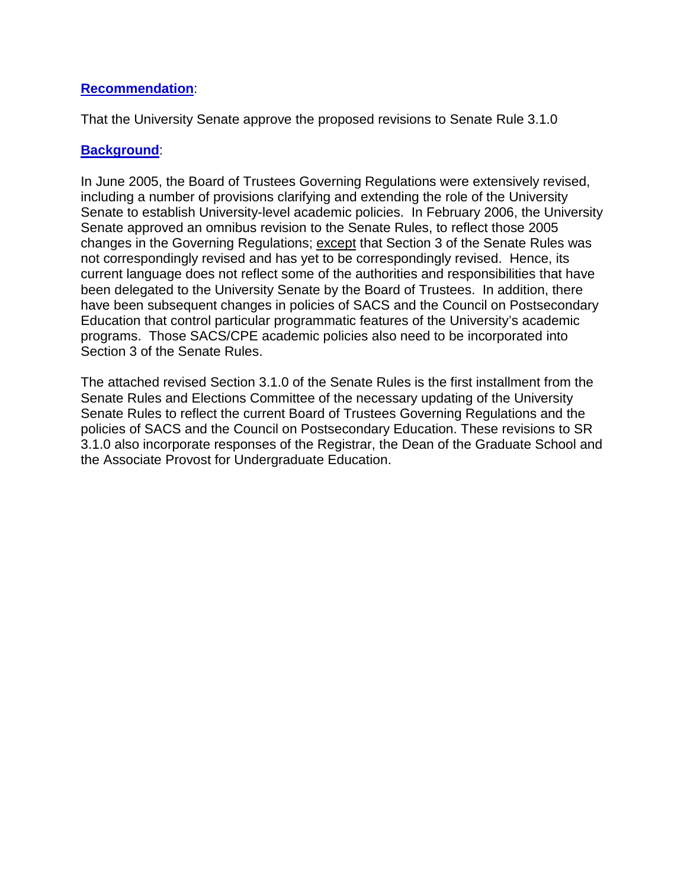## **Recommendation**:

That the University Senate approve the proposed revisions to Senate Rule 3.1.0

## **Background**:

In June 2005, the Board of Trustees Governing Regulations were extensively revised, including a number of provisions clarifying and extending the role of the University Senate to establish University-level academic policies. In February 2006, the University Senate approved an omnibus revision to the Senate Rules, to reflect those 2005 changes in the Governing Regulations; except that Section 3 of the Senate Rules was not correspondingly revised and has yet to be correspondingly revised. Hence, its current language does not reflect some of the authorities and responsibilities that have been delegated to the University Senate by the Board of Trustees. In addition, there have been subsequent changes in policies of SACS and the Council on Postsecondary Education that control particular programmatic features of the University's academic programs. Those SACS/CPE academic policies also need to be incorporated into Section 3 of the Senate Rules.

The attached revised Section 3.1.0 of the Senate Rules is the first installment from the Senate Rules and Elections Committee of the necessary updating of the University Senate Rules to reflect the current Board of Trustees Governing Regulations and the policies of SACS and the Council on Postsecondary Education. These revisions to SR 3.1.0 also incorporate responses of the Registrar, the Dean of the Graduate School and the Associate Provost for Undergraduate Education.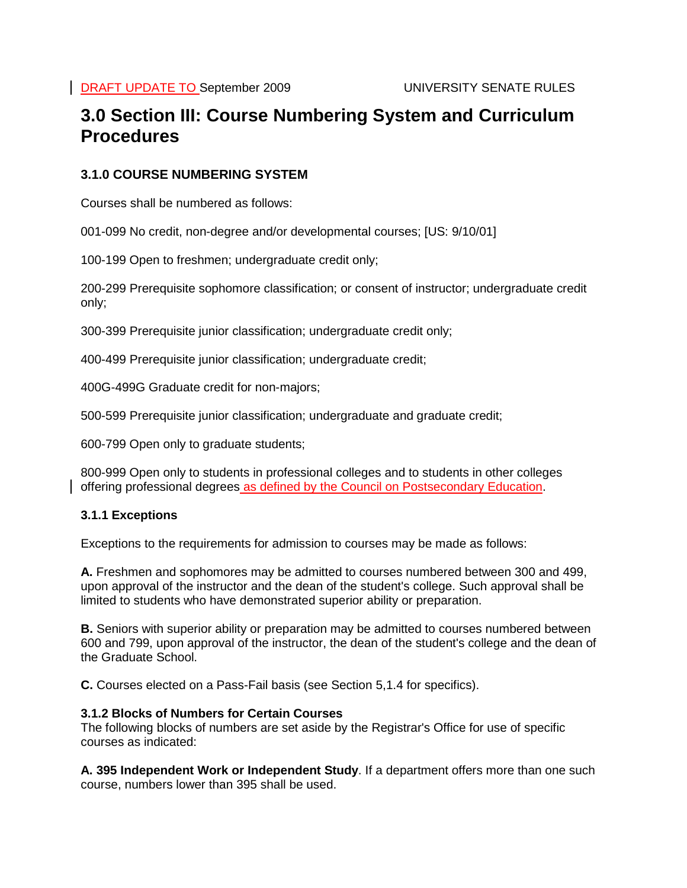# **3.0 Section III: Course Numbering System and Curriculum Procedures**

## **3.1.0 COURSE NUMBERING SYSTEM**

Courses shall be numbered as follows:

001-099 No credit, non-degree and/or developmental courses; [US: 9/10/01]

100-199 Open to freshmen; undergraduate credit only;

200-299 Prerequisite sophomore classification; or consent of instructor; undergraduate credit only;

300-399 Prerequisite junior classification; undergraduate credit only;

400-499 Prerequisite junior classification; undergraduate credit;

400G-499G Graduate credit for non-majors;

500-599 Prerequisite junior classification; undergraduate and graduate credit;

600-799 Open only to graduate students;

800-999 Open only to students in professional colleges and to students in other colleges offering professional degrees as defined by the Council on Postsecondary Education.

### **3.1.1 Exceptions**

Exceptions to the requirements for admission to courses may be made as follows:

**A.** Freshmen and sophomores may be admitted to courses numbered between 300 and 499, upon approval of the instructor and the dean of the student's college. Such approval shall be limited to students who have demonstrated superior ability or preparation.

**B.** Seniors with superior ability or preparation may be admitted to courses numbered between 600 and 799, upon approval of the instructor, the dean of the student's college and the dean of the Graduate School.

**C.** Courses elected on a Pass-Fail basis (see Section 5,1.4 for specifics).

#### **3.1.2 Blocks of Numbers for Certain Courses**

The following blocks of numbers are set aside by the Registrar's Office for use of specific courses as indicated:

**A. 395 Independent Work or Independent Study**. If a department offers more than one such course, numbers lower than 395 shall be used.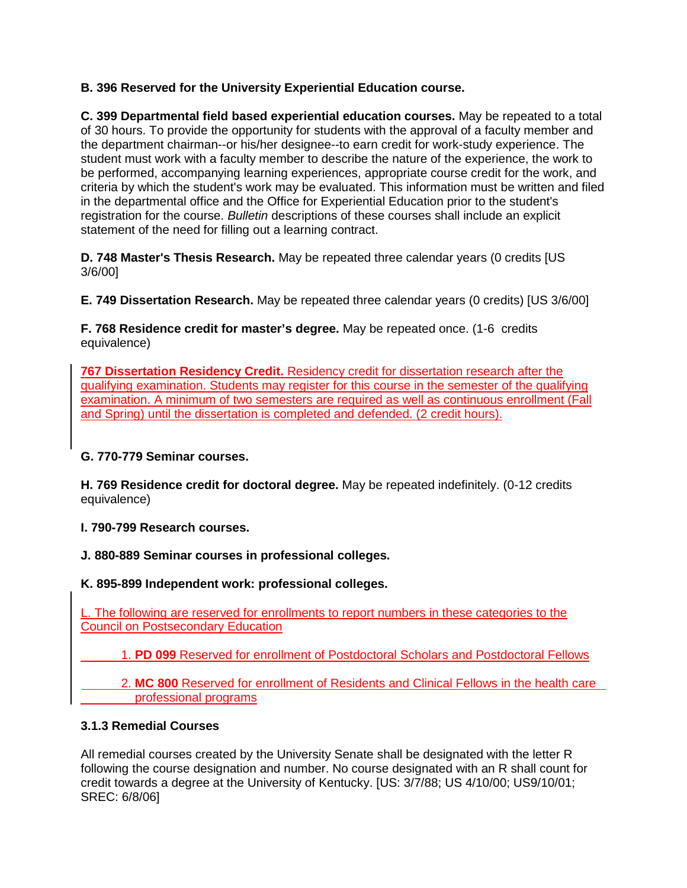## **B. 396 Reserved for the University Experiential Education course.**

**C. 399 Departmental field based experiential education courses.** May be repeated to a total of 30 hours. To provide the opportunity for students with the approval of a faculty member and the department chairman--or his/her designee--to earn credit for work-study experience. The student must work with a faculty member to describe the nature of the experience, the work to be performed, accompanying learning experiences, appropriate course credit for the work, and criteria by which the student's work may be evaluated. This information must be written and filed in the departmental office and the Office for Experiential Education prior to the student's registration for the course. *Bulletin* descriptions of these courses shall include an explicit statement of the need for filling out a learning contract.

**D. 748 Master's Thesis Research.** May be repeated three calendar years (0 credits [US 3/6/00]

**E. 749 Dissertation Research.** May be repeated three calendar years (0 credits) [US 3/6/00]

**F. 768 Residence credit for master's degree.** May be repeated once. (1-6 credits equivalence)

**767 Dissertation Residency Credit.** Residency credit for dissertation research after the qualifying examination. Students may register for this course in the semester of the qualifying examination. A minimum of two semesters are required as well as continuous enrollment (Fall and Spring) until the dissertation is completed and defended. (2 credit hours).

**G. 770-779 Seminar courses.** 

**H. 769 Residence credit for doctoral degree.** May be repeated indefinitely. (0-12 credits equivalence)

**I. 790-799 Research courses.** 

**J. 880-889 Seminar courses in professional colleges.** 

**K. 895-899 Independent work: professional colleges.** 

L. The following are reserved for enrollments to report numbers in these categories to the Council on Postsecondary Education

1. **PD 099** Reserved for enrollment of Postdoctoral Scholars and Postdoctoral Fellows

 2. **MC 800** Reserved for enrollment of Residents and Clinical Fellows in the health care professional programs

### **3.1.3 Remedial Courses**

All remedial courses created by the University Senate shall be designated with the letter R following the course designation and number. No course designated with an R shall count for credit towards a degree at the University of Kentucky. [US: 3/7/88; US 4/10/00; US9/10/01; SREC: 6/8/06]